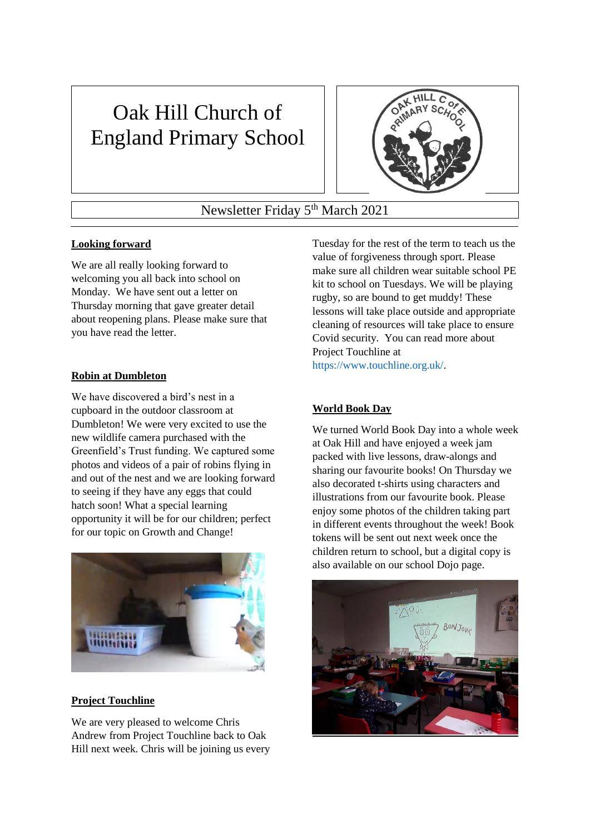# Oak Hill Church of England Primary School



Newsletter Friday 5<sup>th</sup> March 2021

# **Looking forward**

We are all really looking forward to welcoming you all back into school on Monday. We have sent out a letter on Thursday morning that gave greater detail about reopening plans. Please make sure that you have read the letter.

# **Robin at Dumbleton**

We have discovered a bird's nest in a cupboard in the outdoor classroom at Dumbleton! We were very excited to use the new wildlife camera purchased with the Greenfield's Trust funding. We captured some photos and videos of a pair of robins flying in and out of the nest and we are looking forward to seeing if they have any eggs that could hatch soon! What a special learning opportunity it will be for our children; perfect for our topic on Growth and Change!



## **Project Touchline**

We are very pleased to welcome Chris Andrew from Project Touchline back to Oak Hill next week. Chris will be joining us every

Tuesday for the rest of the term to teach us the value of forgiveness through sport. Please make sure all children wear suitable school PE kit to school on Tuesdays. We will be playing rugby, so are bound to get muddy! These lessons will take place outside and appropriate cleaning of resources will take place to ensure Covid security. You can read more about Project Touchline at [https://www.touchline.org.uk/.](https://www.touchline.org.uk/)

# **World Book Day**

We turned World Book Day into a whole week at Oak Hill and have enjoyed a week jam packed with live lessons, draw-alongs and sharing our favourite books! On Thursday we also decorated t-shirts using characters and illustrations from our favourite book. Please enjoy some photos of the children taking part in different events throughout the week! Book tokens will be sent out next week once the children return to school, but a digital copy is also available on our school Dojo page.

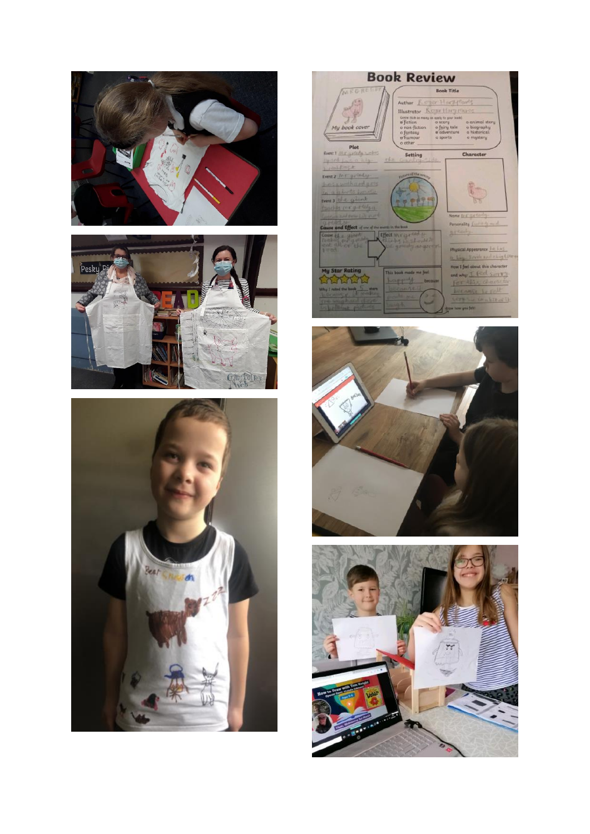









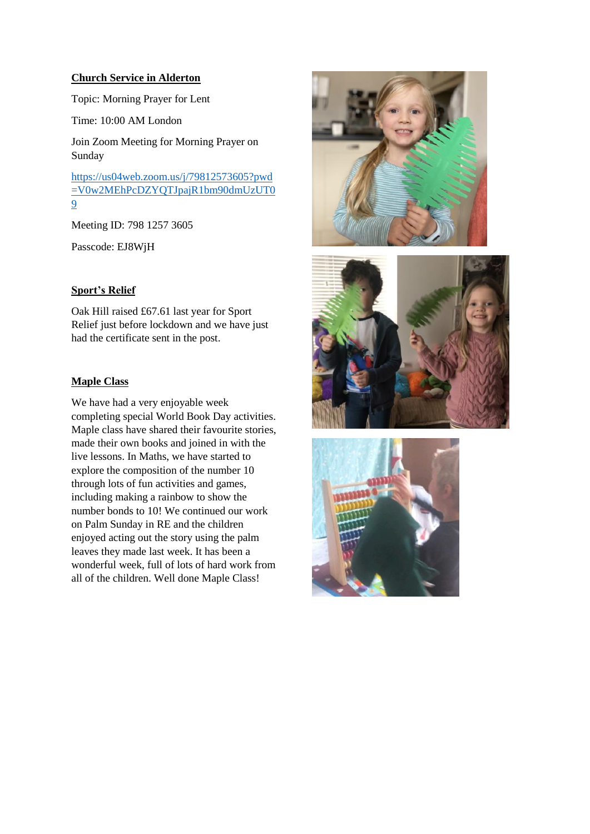## **Church Service in Alderton**

Topic: Morning Prayer for Lent

Time: 10:00 AM London

Join Zoom Meeting for Morning Prayer on Sunday

[https://us04web.zoom.us/j/79812573605?pwd](https://us04web.zoom.us/j/79812573605?pwd=V0w2MEhPcDZYQTJpajR1bm90dmUzUT09) [=V0w2MEhPcDZYQTJpajR1bm90dmUzUT0](https://us04web.zoom.us/j/79812573605?pwd=V0w2MEhPcDZYQTJpajR1bm90dmUzUT09) [9](https://us04web.zoom.us/j/79812573605?pwd=V0w2MEhPcDZYQTJpajR1bm90dmUzUT09)

Meeting ID: 798 1257 3605

Passcode: EJ8WjH

## **Sport's Relief**

Oak Hill raised £67.61 last year for Sport Relief just before lockdown and we have just had the certificate sent in the post.

### **Maple Class**

We have had a very enjoyable week completing special World Book Day activities. Maple class have shared their favourite stories, made their own books and joined in with the live lessons. In Maths, we have started to explore the composition of the number 10 through lots of fun activities and games, including making a rainbow to show the number bonds to 10! We continued our work on Palm Sunday in RE and the children enjoyed acting out the story using the palm leaves they made last week. It has been a wonderful week, full of lots of hard work from all of the children. Well done Maple Class!





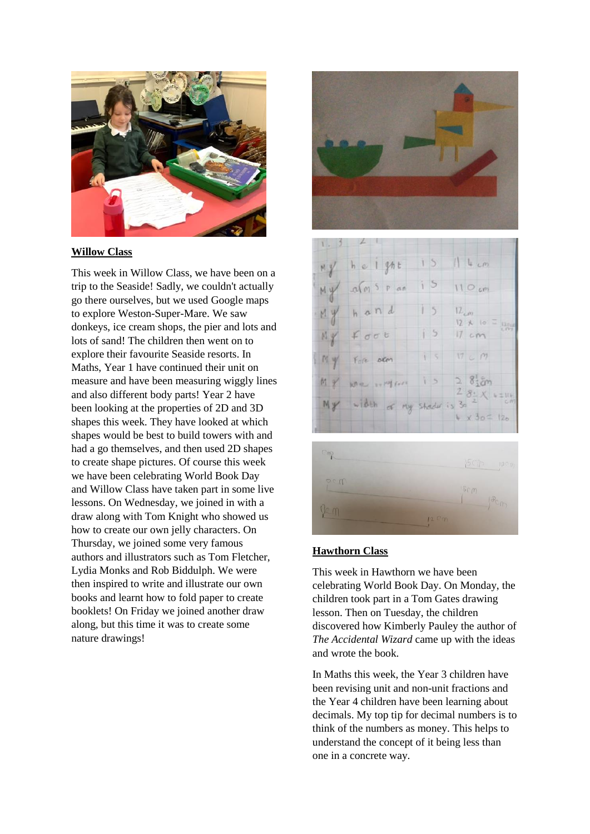

#### **Willow Class**

This week in Willow Class, we have been on a trip to the Seaside! Sadly, we couldn't actually go there ourselves, but we used Google maps to explore Weston-Super-Mare. We saw donkeys, ice cream shops, the pier and lots and lots of sand! The children then went on to explore their favourite Seaside resorts. In Maths, Year 1 have continued their unit on measure and have been measuring wiggly lines and also different body parts! Year 2 have been looking at the properties of 2D and 3D shapes this week. They have looked at which shapes would be best to build towers with and had a go themselves, and then used 2D shapes to create shape pictures. Of course this week we have been celebrating World Book Day and Willow Class have taken part in some live lessons. On Wednesday, we joined in with a draw along with Tom Knight who showed us how to create our own jelly characters. On Thursday, we joined some very famous authors and illustrators such as Tom Fletcher, Lydia Monks and Rob Biddulph. We were then inspired to write and illustrate our own books and learnt how to fold paper to create booklets! On Friday we joined another draw along, but this time it was to create some nature drawings!







### **Hawthorn Class**

This week in Hawthorn we have been celebrating World Book Day. On Monday, the children took part in a Tom Gates drawing lesson. Then on Tuesday, the children discovered how Kimberly Pauley the author of *The Accidental Wizard* came up with the ideas and wrote the book.

In Maths this week, the Year 3 children have been revising unit and non-unit fractions and the Year 4 children have been learning about decimals. My top tip for decimal numbers is to think of the numbers as money. This helps to understand the concept of it being less than one in a concrete way.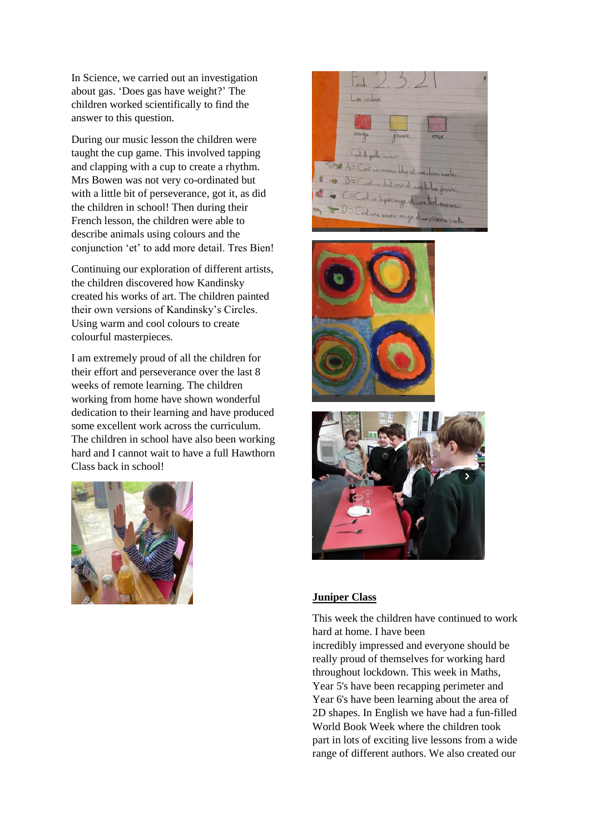In Science, we carried out an investigation about gas. 'Does gas have weight?' The children worked scientifically to find the answer to this question.

During our music lesson the children were taught the cup game. This involved tapping and clapping with a cup to create a rhythm. Mrs Bowen was not very co-ordinated but with a little bit of perseverance, got it, as did the children in school! Then during their French lesson, the children were able to describe animals using colours and the conjunction 'et' to add more detail. Tres Bien!

Continuing our exploration of different artists, the children discovered how Kandinsky created his works of art. The children painted their own versions of Kandinsky's Circles. Using warm and cool colours to create colourful masterpieces.

I am extremely proud of all the children for their effort and perseverance over the last 8 weeks of remote learning. The children working from home have shown wonderful dedication to their learning and have produced some excellent work across the curriculum. The children in school have also been working hard and I cannot wait to have a full Hawthorn Class back in school!









### **Juniper Class**

This week the children have continued to work hard at home. I have been incredibly impressed and everyone should be really proud of themselves for working hard throughout lockdown. This week in Maths, Year 5's have been recapping perimeter and Year 6's have been learning about the area of 2D shapes. In English we have had a fun-filled World Book Week where the children took part in lots of exciting live lessons from a wide range of different authors. We also created our